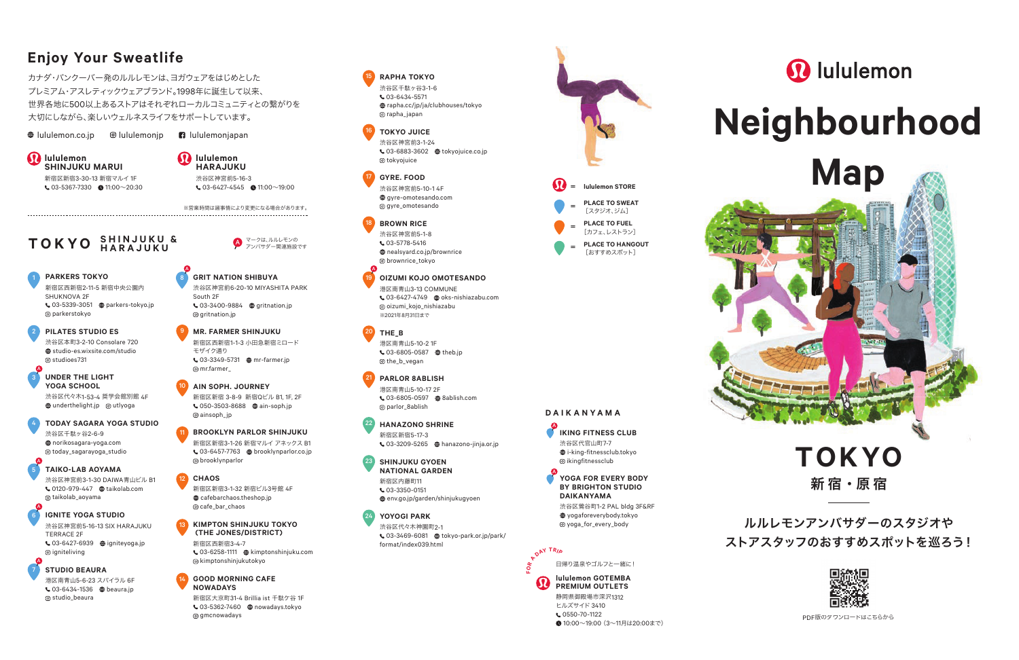# **Enjoy Your Sweatlife**

カナダ・バンクーバー発のルルレモンは、ヨガウェアをはじめとした プレミアム・アスレティックウェアブランド。1998年に誕生して以来、 世界各地に500以上あるストアはそれぞれローカルコミュニティとの繋がりを 大切にしながら、楽しいウェルネスライフをサポートしています。

**Iululemon.co.ip O**lululemonip **n** lululemonjapan

*D* lululemon<br>SHINJUKU MARUI 新宿区新宿3-30-13 新宿マルイ 1F  $\bullet$  03-5367-7330  $\bullet$  11:00~20:30 **19** lululemon<br>HARAJUKU 渋谷区神宮前5-16-3  $\cdot$  03-6427-4545  $\cdot$  11:00~19:00

※営業時間は諸事情により変更になる場合があります。

マークは、ルルレモンの<br>アンバサダー関連施設です

# **T O K YO** マークは、ルルレモンの **S H I N J U K U & H A R A J U K U**

**PARKERS TOKYO** 新宿区西新宿2-11-5 新宿中央公園内 1

SHUKNOVA 2F 03-5339-3051 parkers-tokyo.jp parkerstokyo

**PILATES STUDIO ES** 渋谷区本町3-2-10 Consolare 720 studio-es.wixsite.com/studio studioes731

2

5 A

#### **UNDER THE LIGHT YOGA SCHOOL** 渋谷区代々木1-53-4 奨学会館別館 4F 3 A

 $\bigoplus$  underthelight.jp @ utlyoga

**TODAY SAGARA YOGA STUDIO** 渋谷区千駄ヶ谷2-6-9 norikosagara-yoga.com today\_sagarayoga\_studio

**TAIKO-LAB AOYAMA** 渋谷区神宮前3-1-30 DAIWA青山ビル B1 0120-979-447 taikolab.com taikolab\_aoyama

**IGNITE YOGA STUDIO** 6 24 渋谷区神宮前5-16-13 SIX HARAJUKU TERRACE 2F 03-6427-6939 igniteyoga.jp @ igniteliving

**STUDIO BEAURA** 港区南青山5-6-23 スパイラル 6F 03-6434-1536 beaura.jp

studio\_beaura

#### 渋谷区神宮前6-20-10 MIYASHITA PARK South 2F 03-3400-9884 gritnation.jp gritnation.jp **MR. FARMER SHINJUKU** 新宿区西新宿1-1-3 小田急新宿ミロード

**GRIT NATION SHIBUYA**

9

8 A

13

11

モザイク通り 03-3349-5731 mr-farmer.jp mr.farmer\_

**AIN SOPH. JOURNEY** 新宿区新宿 3-8-9 新宿Qビル B1, 1F, 2F 050-3503-8688 ain-soph.jp ainsoph\_jp

## **BROOKLYN PARLOR SHINJUKU**

新宿区新宿3-1-26 新宿マルイ アネックス B1 03-6457-7763 brooklynparlor.co.jp brooklynparlor

**CHAOS** 新宿区新宿3-1-32 新宿ビル3号館 4F cafebarchaos.theshop.jp cafe\_bar\_chaos

#### **KIMPTON SHINJUKU TOKYO (THE JONES/DISTRICT)**

新宿区西新宿3-4-7  $\cdot$  03-6258-1111  $\oplus$  kimptonshinjuku.com kimptonshinjukutokyo

#### **GOOD MORNING CAFE NOWADAYS**

新宿区大京町31-4 Brillia ist 千駄ケ谷 1F 03-5362-7460 nowadays.tokyo g amcnowadays

**RAPHA TOKYO** 渋谷区千駄ヶ谷3-1-6  $C$ 03-6434-5571 rapha.cc/jp/ja/clubhouses/tokyo rapha\_japan

#### **TOKYO JUICE**

15

渋谷区神宮前3-1-24 03-6883-3602 tokyojuice.co.jp tokyojuice

**GYRE. FOOD** 渋谷区神宮前5-10-1 4F gyre-omotesando.com gyre\_omotesando

## **BROWN RICE**

渋谷区神宮前5-1-8 03-5778-5416 nealsyard.co.jp/brownrice brownrice\_tokyo

## **OIZUMI KOJO OMOTESANDO**

港区南青山3-13 COMMUNE 03-6427-4749 oks-nishiazabu.com oizumi\_kojo\_nishiazabu ※2021年8月31日まで

#### **THE\_B** 20

A

港区南青山5-10-2 1F ₹ 03-6805-0587 <sup>@</sup> theb.ip the\_b\_vegan

# **PARLOR 8ABLISH**

港区南青山5-10-17 2F 03-6805-0597 8ablish.com parlor\_8ablish

#### **HANAZONO SHRINE** 新宿区新宿5-17-3 03-3209-5265 hanazono-jinja.or.jp 22

#### **SHINJUKU GYOEN NATIONAL GARDEN** 23

新宿区内藤町11  $\mathbf{C}$  03-3350-0151 env.go.jp/garden/shinjukugyoen

# **YOYOGI PARK**

渋谷区代々木神園町2-1 **6** 03-3469-6081 **tokyo-park.or.jp/park/** format/index039.html



**PLACE TO SWEAT** [スタジオ、ジム] **PLACE TO FUEL** [カフェ、レストラン] **PLACE TO HANGOUT** [おすすめスポット]

= **lululemon STORE**

= = =

**IKING FITNESS CLUB** 渋谷区代官山町7-7 i-king-fitnessclub.tokyo ikingfitnessclub

**D A I K A N Y A M A**

A

A

**FO<sup>R</sup> <sup>A</sup> <sup>D</sup>A<sup>Y</sup> <sup>T</sup>RI<sup>P</sup>**

**YOGA FOR EVERY BODY BY BRIGHTON STUDIO DAIKANYAMA** 渋谷区鶯谷町1-2 PAL bldg 3F&RF  $\n *W* voaaforevervbody.tokvo$ yoga\_for\_every\_body

**lululemon GOTEMBA PREMIUM OUTLETS** 静岡県御殿場市深沢1312 ヒルズサイド 3410 **t.** 0550-70-1122

日帰り温泉やゴルフと一緒に!

● 10:00~19:00 (3~11月は20:00まで)

# **2** lululemon

# **Neighbourhood**



新宿 · 原宿 **TOKYO**

ルルレモンアンバサダーのスタジオや ストアスタッフのおすすめスポットを巡ろう!



PDF版のダウンロードはこちらから